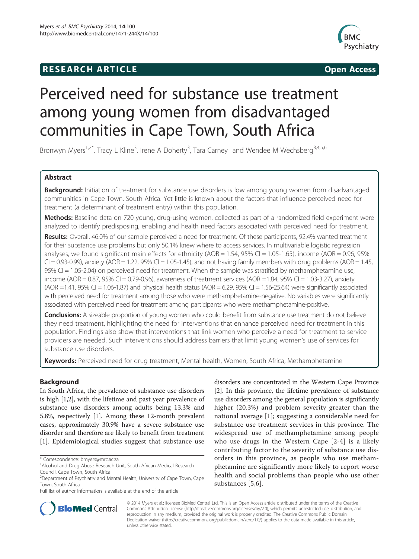## **RESEARCH ARTICLE Example 2014 The SEAR CH ACCESS**



# Perceived need for substance use treatment among young women from disadvantaged communities in Cape Town, South Africa

Bronwyn Myers<sup>1,2\*</sup>, Tracy L Kline<sup>3</sup>, Irene A Doherty<sup>3</sup>, Tara Carney<sup>1</sup> and Wendee M Wechsberg<sup>3,4,5,6</sup>

## Abstract

Background: Initiation of treatment for substance use disorders is low among young women from disadvantaged communities in Cape Town, South Africa. Yet little is known about the factors that influence perceived need for treatment (a determinant of treatment entry) within this population.

Methods: Baseline data on 720 young, drug-using women, collected as part of a randomized field experiment were analyzed to identify predisposing, enabling and health need factors associated with perceived need for treatment.

Results: Overall, 46.0% of our sample perceived a need for treatment. Of these participants, 92.4% wanted treatment for their substance use problems but only 50.1% knew where to access services. In multivariable logistic regression analyses, we found significant main effects for ethnicity (AOR = 1.54, 95% CI = 1.05-1.65), income (AOR = 0.96, 95%  $CI = 0.93-0.99$ ), anxiety (AOR = 1.22, 95% CI = 1.05-1.45), and not having family members with drug problems (AOR = 1.45, 95% CI = 1.05-2.04) on perceived need for treatment. When the sample was stratified by methamphetamine use, income (AOR =  $0.87$ , 95% CI =  $0.79$ - $0.96$ ), awareness of treatment services (AOR =  $1.84$ , 95% CI =  $1.03$ - $3.27$ ), anxiety  $(AOR = 1.41, 95\% CI = 1.06-1.87)$  and physical health status  $(AOR = 6.29, 95\% CI = 1.56-25.64)$  were significantly associated with perceived need for treatment among those who were methamphetamine-negative. No variables were significantly associated with perceived need for treatment among participants who were methamphetamine-positive.

**Conclusions:** A sizeable proportion of young women who could benefit from substance use treatment do not believe they need treatment, highlighting the need for interventions that enhance perceived need for treatment in this population. Findings also show that interventions that link women who perceive a need for treatment to service providers are needed. Such interventions should address barriers that limit young women's use of services for substance use disorders.

Keywords: Perceived need for drug treatment, Mental health, Women, South Africa, Methamphetamine

## **Background**

In South Africa, the prevalence of substance use disorders is high [[1,2\]](#page-8-0), with the lifetime and past year prevalence of substance use disorders among adults being 13.3% and 5.8%, respectively [\[1](#page-8-0)]. Among these 12-month prevalent cases, approximately 30.9% have a severe substance use disorder and therefore are likely to benefit from treatment [[1\]](#page-8-0). Epidemiological studies suggest that substance use

disorders are concentrated in the Western Cape Province [[2\]](#page-8-0). In this province, the lifetime prevalence of substance use disorders among the general population is significantly higher (20.3%) and problem severity greater than the national average [[1\]](#page-8-0); suggesting a considerable need for substance use treatment services in this province. The widespread use of methamphetamine among people who use drugs in the Western Cape [\[2](#page-8-0)-[4](#page-8-0)] is a likely contributing factor to the severity of substance use disorders in this province, as people who use methamphetamine are significantly more likely to report worse health and social problems than people who use other substances [[5](#page-8-0),[6\]](#page-8-0).



© 2014 Myers et al.; licensee BioMed Central Ltd. This is an Open Access article distributed under the terms of the Creative Commons Attribution License [\(http://creativecommons.org/licenses/by/2.0\)](http://creativecommons.org/licenses/by/2.0), which permits unrestricted use, distribution, and reproduction in any medium, provided the original work is properly credited. The Creative Commons Public Domain Dedication waiver [\(http://creativecommons.org/publicdomain/zero/1.0/](http://creativecommons.org/publicdomain/zero/1.0/)) applies to the data made available in this article, unless otherwise stated.

<sup>\*</sup> Correspondence: [bmyers@mrc.ac.za](mailto:bmyers@mrc.ac.za) <sup>1</sup>

<sup>&</sup>lt;sup>1</sup> Alcohol and Drug Abuse Research Unit, South African Medical Research Council, Cape Town, South Africa

<sup>&</sup>lt;sup>2</sup>Department of Psychiatry and Mental Health, University of Cape Town, Cape Town, South Africa

Full list of author information is available at the end of the article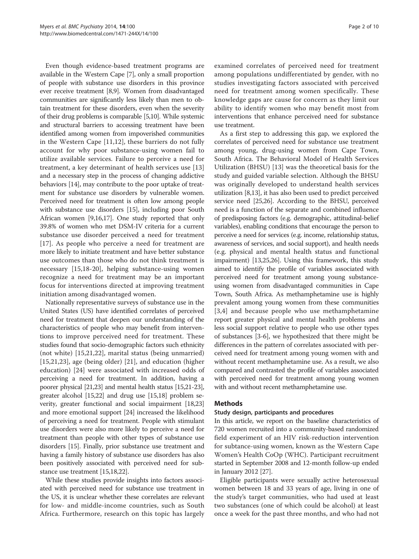Even though evidence-based treatment programs are available in the Western Cape [\[7\]](#page-8-0), only a small proportion of people with substance use disorders in this province ever receive treatment [\[8,9](#page-8-0)]. Women from disadvantaged communities are significantly less likely than men to obtain treatment for these disorders, even when the severity of their drug problems is comparable [\[5,10](#page-8-0)]. While systemic and structural barriers to accessing treatment have been identified among women from impoverished communities in the Western Cape [[11,12\]](#page-8-0), these barriers do not fully account for why poor substance-using women fail to utilize available services. Failure to perceive a need for treatment, a key determinant of health services use [\[13](#page-8-0)] and a necessary step in the process of changing addictive behaviors [\[14](#page-8-0)], may contribute to the poor uptake of treatment for substance use disorders by vulnerable women. Perceived need for treatment is often low among people with substance use disorders [\[15\]](#page-8-0), including poor South African women [\[9,16,17](#page-8-0)]. One study reported that only 39.8% of women who met DSM-IV criteria for a current substance use disorder perceived a need for treatment [[17\]](#page-8-0). As people who perceive a need for treatment are more likely to initiate treatment and have better substance use outcomes than those who do not think treatment is necessary [[15,18](#page-8-0)-[20\]](#page-8-0), helping substance-using women recognize a need for treatment may be an important focus for interventions directed at improving treatment initiation among disadvantaged women.

Nationally representative surveys of substance use in the United States (US) have identified correlates of perceived need for treatment that deepen our understanding of the characteristics of people who may benefit from interventions to improve perceived need for treatment. These studies found that socio-demographic factors such ethnicity (not white) [\[15,21](#page-8-0),[22\]](#page-8-0), marital status (being unmarried) [[15,21,23](#page-8-0)], age (being older) [[21\]](#page-8-0), and education (higher education) [[24\]](#page-8-0) were associated with increased odds of perceiving a need for treatment. In addition, having a poorer physical [[21,23](#page-8-0)] and mental health status [[15,21-23](#page-8-0)], greater alcohol [\[15,22](#page-8-0)] and drug use [\[15,18\]](#page-8-0) problem severity, greater functional and social impairment [\[18,23](#page-8-0)] and more emotional support [[24\]](#page-8-0) increased the likelihood of perceiving a need for treatment. People with stimulant use disorders were also more likely to perceive a need for treatment than people with other types of substance use disorders [\[15\]](#page-8-0). Finally, prior substance use treatment and having a family history of substance use disorders has also been positively associated with perceived need for substance use treatment [\[15,18](#page-8-0),[22](#page-8-0)].

While these studies provide insights into factors associated with perceived need for substance use treatment in the US, it is unclear whether these correlates are relevant for low- and middle-income countries, such as South Africa. Furthermore, research on this topic has largely

examined correlates of perceived need for treatment among populations undifferentiated by gender, with no studies investigating factors associated with perceived need for treatment among women specifically. These knowledge gaps are cause for concern as they limit our ability to identify women who may benefit most from interventions that enhance perceived need for substance use treatment.

As a first step to addressing this gap, we explored the correlates of perceived need for substance use treatment among young, drug-using women from Cape Town, South Africa. The Behavioral Model of Health Services Utilization (BHSU) [\[13](#page-8-0)] was the theoretical basis for the study and guided variable selection. Although the BHSU was originally developed to understand health services utilization [[8,13](#page-8-0)], it has also been used to predict perceived service need [\[25,26](#page-8-0)]. According to the BHSU, perceived need is a function of the separate and combined influence of predisposing factors (e.g. demographic, attitudinal-belief variables), enabling conditions that encourage the person to perceive a need for services (e.g. income, relationship status, awareness of services, and social support), and health needs (e.g. physical and mental health status and functional impairment) [[13,25,26\]](#page-8-0). Using this framework, this study aimed to identify the profile of variables associated with perceived need for treatment among young substanceusing women from disadvantaged communities in Cape Town, South Africa. As methamphetamine use is highly prevalent among young women from these communities [[3,4\]](#page-8-0) and because people who use methamphetamine report greater physical and mental health problems and less social support relative to people who use other types of substances [[3-6\]](#page-8-0), we hypothesized that there might be differences in the pattern of correlates associated with perceived need for treatment among young women with and without recent methamphetamine use. As a result, we also compared and contrasted the profile of variables associated with perceived need for treatment among young women with and without recent methamphetamine use.

#### Methods

#### Study design, participants and procedures

In this article, we report on the baseline characteristics of 720 women recruited into a community-based randomized field experiment of an HIV risk-reduction intervention for subtance-using women, known as the Western Cape Women's Health CoOp (WHC). Participant recruitment started in September 2008 and 12-month follow-up ended in January 2012 [[27](#page-8-0)].

Eligible participants were sexually active heterosexual women between 18 and 33 years of age, living in one of the study's target communities, who had used at least two substances (one of which could be alcohol) at least once a week for the past three months, and who had not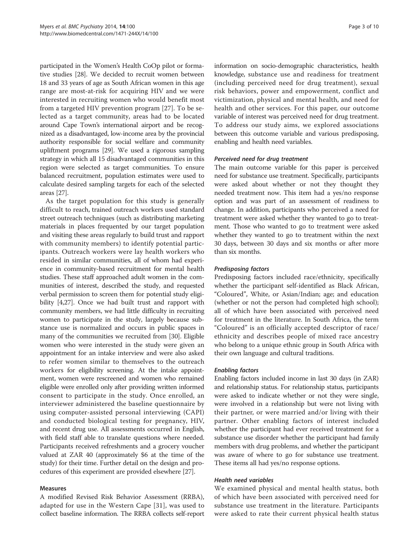participated in the Women's Health CoOp pilot or formative studies [[28](#page-8-0)]. We decided to recruit women between 18 and 33 years of age as South African women in this age range are most-at-risk for acquiring HIV and we were interested in recruiting women who would benefit most from a targeted HIV prevention program [\[27](#page-8-0)]. To be selected as a target community, areas had to be located around Cape Town's international airport and be recognized as a disadvantaged, low-income area by the provincial authority responsible for social welfare and community upliftment programs [\[29\]](#page-9-0). We used a rigorous sampling strategy in which all 15 disadvantaged communities in this region were selected as target communities. To ensure balanced recruitment, population estimates were used to calculate desired sampling targets for each of the selected areas [[27](#page-8-0)].

As the target population for this study is generally difficult to reach, trained outreach workers used standard street outreach techniques (such as distributing marketing materials in places frequented by our target population and visiting these areas regularly to build trust and rapport with community members) to identify potential participants. Outreach workers were lay health workers who resided in similar communities, all of whom had experience in community-based recruitment for mental health studies. These staff approached adult women in the communities of interest, described the study, and requested verbal permission to screen them for potential study eligibility [\[4,27\]](#page-8-0). Once we had built trust and rapport with community members, we had little difficulty in recruiting women to participate in the study, largely because substance use is normalized and occurs in public spaces in many of the communities we recruited from [\[30\]](#page-9-0). Eligible women who were interested in the study were given an appointment for an intake interview and were also asked to refer women similar to themselves to the outreach workers for eligibility screening. At the intake appointment, women were rescreened and women who remained eligible were enrolled only after providing written informed consent to participate in the study. Once enrolled, an interviewer administered the baseline questionnaire by using computer-assisted personal interviewing (CAPI) and conducted biological testing for pregnancy, HIV, and recent drug use. All assessments occurred in English, with field staff able to translate questions where needed. Participants received refreshments and a grocery voucher valued at ZAR 40 (approximately \$6 at the time of the study) for their time. Further detail on the design and procedures of this experiment are provided elsewhere [[27](#page-8-0)].

## Measures

A modified Revised Risk Behavior Assessment (RRBA), adapted for use in the Western Cape [\[31\]](#page-9-0), was used to collect baseline information. The RRBA collects self-report

information on socio-demographic characteristics, health knowledge, substance use and readiness for treatment (including perceived need for drug treatment), sexual risk behaviors, power and empowerment, conflict and victimization, physical and mental health, and need for health and other services. For this paper, our outcome variable of interest was perceived need for drug treatment. To address our study aims, we explored associations between this outcome variable and various predisposing, enabling and health need variables.

#### Perceived need for drug treatment

The main outcome variable for this paper is perceived need for substance use treatment. Specifically, participants were asked about whether or not they thought they needed treatment now. This item had a yes/no response option and was part of an assessment of readiness to change. In addition, participants who perceived a need for treatment were asked whether they wanted to go to treatment. Those who wanted to go to treatment were asked whether they wanted to go to treatment within the next 30 days, between 30 days and six months or after more than six months.

#### Predisposing factors

Predisposing factors included race/ethnicity, specifically whether the participant self-identified as Black African, "Coloured", White, or Asian/Indian; age; and education (whether or not the person had completed high school); all of which have been associated with perceived need for treatment in the literature. In South Africa, the term "Coloured" is an officially accepted descriptor of race/ ethnicity and describes people of mixed race ancestry who belong to a unique ethnic group in South Africa with their own language and cultural traditions.

#### Enabling factors

Enabling factors included income in last 30 days (in ZAR) and relationship status. For relationship status, participants were asked to indicate whether or not they were single, were involved in a relationship but were not living with their partner, or were married and/or living with their partner. Other enabling factors of interest included whether the participant had ever received treatment for a substance use disorder whether the participant had family members with drug problems, and whether the participant was aware of where to go for substance use treatment. These items all had yes/no response options.

#### Health need variables

We examined physical and mental health status, both of which have been associated with perceived need for substance use treatment in the literature. Participants were asked to rate their current physical health status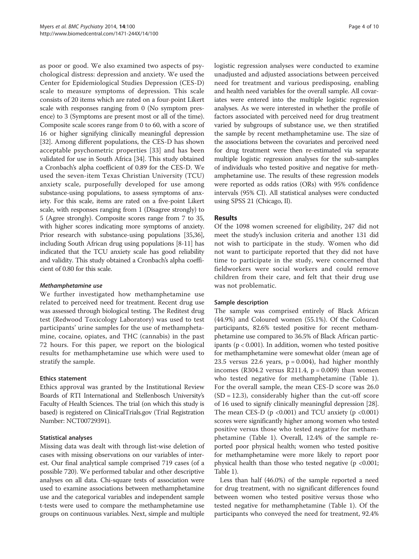as poor or good. We also examined two aspects of psychological distress: depression and anxiety. We used the Center for Epidemiological Studies Depression (CES-D) scale to measure symptoms of depression. This scale consists of 20 items which are rated on a four-point Likert scale with responses ranging from 0 (No symptom presence) to 3 (Symptoms are present most or all of the time). Composite scale scores range from 0 to 60, with a score of 16 or higher signifying clinically meaningful depression [[32](#page-9-0)]. Among different populations, the CES-D has shown acceptable psychometric properties [[33](#page-9-0)] and has been validated for use in South Africa [\[34\]](#page-9-0). This study obtained a Cronbach's alpha coefficient of 0.89 for the CES-D. We used the seven-item Texas Christian University (TCU) anxiety scale, purposefully developed for use among substance-using populations, to assess symptoms of anxiety. For this scale, items are rated on a five-point Likert scale, with responses ranging from 1 (Disagree strongly) to 5 (Agree strongly). Composite scores range from 7 to 35, with higher scores indicating more symptoms of anxiety. Prior research with substance-using populations [\[35,36](#page-9-0)], including South African drug using populations [\[8](#page-8-0)-[11](#page-8-0)] has indicated that the TCU anxiety scale has good reliability and validity. This study obtained a Cronbach's alpha coefficient of 0.80 for this scale.

## Methamphetamine use

We further investigated how methamphetamine use related to perceived need for treatment. Recent drug use was assessed through biological testing. The Reditest drug test (Redwood Toxicology Laboratory) was used to test participants' urine samples for the use of methamphetamine, cocaine, opiates, and THC (cannabis) in the past 72 hours. For this paper, we report on the biological results for methamphetamine use which were used to stratify the sample.

## Ethics statement

Ethics approval was granted by the Institutional Review Boards of RTI International and Stellenbosch University's Faculty of Health Sciences. The trial (on which this study is based) is registered on ClinicalTrials.gov (Trial Registration Number: NCT00729391).

## Statistical analyses

Missing data was dealt with through list-wise deletion of cases with missing observations on our variables of interest. Our final analytical sample comprised 719 cases (of a possible 720). We performed tabular and other descriptive analyses on all data. Chi-square tests of association were used to examine associations between methamphetamine use and the categorical variables and independent sample t-tests were used to compare the methamphetamine use groups on continuous variables. Next, simple and multiple logistic regression analyses were conducted to examine unadjusted and adjusted associations between perceived need for treatment and various predisposing, enabling and health need variables for the overall sample. All covariates were entered into the multiple logistic regression analyses. As we were interested in whether the profile of factors associated with perceived need for drug treatment varied by subgroups of substance use, we then stratified the sample by recent methamphetamine use. The size of the associations between the covariates and perceived need for drug treatment were then re-estimated via separate multiple logistic regression analyses for the sub-samples of individuals who tested positive and negative for methamphetamine use. The results of these regression models were reported as odds ratios (ORs) with 95% confidence intervals (95% CI). All statistical analyses were conducted using SPSS 21 (Chicago, Il).

## Results

Of the 1098 women screened for eligibility, 247 did not meet the study's inclusion criteria and another 131 did not wish to participate in the study. Women who did not want to participate reported that they did not have time to participate in the study, were concerned that fieldworkers were social workers and could remove children from their care, and felt that their drug use was not problematic.

## Sample description

The sample was comprised entirely of Black African (44.9%) and Coloured women (55.1%). Of the Coloured participants, 82.6% tested positive for recent methamphetamine use compared to 36.5% of Black African participants ( $p < 0.001$ ). In addition, women who tested positive for methamphetamine were somewhat older (mean age of 23.5 versus 22.6 years,  $p = 0.004$ ), had higher monthly incomes (R304.2 versus R211.4,  $p = 0.009$ ) than women who tested negative for methamphetamine (Table [1](#page-4-0)). For the overall sample, the mean CES-D score was 26.0  $(SD = 12.3)$ , considerably higher than the cut-off score of 16 used to signify clinically meaningful depression [[28](#page-8-0)]. The mean CES-D ( $p \text{ <0.001}$ ) and TCU anxiety ( $p \text{ <0.001}$ ) scores were significantly higher among women who tested positive versus those who tested negative for methamphetamine (Table [1](#page-4-0)). Overall, 12.4% of the sample reported poor physical health; women who tested positive for methamphetamine were more likely to report poor physical health than those who tested negative ( $p < 0.001$ ; Table [1\)](#page-4-0).

Less than half (46.0%) of the sample reported a need for drug treatment, with no significant differences found between women who tested positive versus those who tested negative for methamphetamine (Table [1\)](#page-4-0). Of the participants who conveyed the need for treatment, 92.4%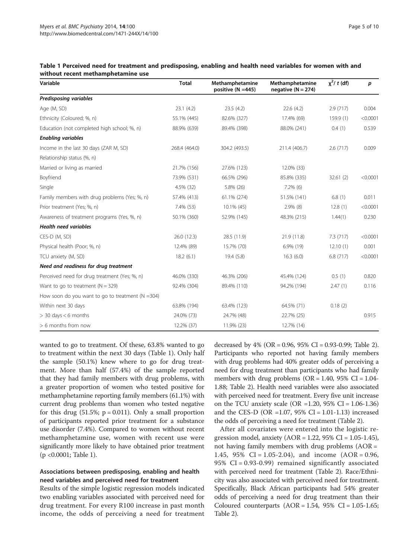| Variable                                              | <b>Total</b>  | Methamphetamine<br>positive $(N = 445)$ | Methamphetamine<br>negative $(N = 274)$ | $x^2/t$ (df) | $\boldsymbol{p}$ |
|-------------------------------------------------------|---------------|-----------------------------------------|-----------------------------------------|--------------|------------------|
| Predisposing variables                                |               |                                         |                                         |              |                  |
| Age (M, SD)                                           | 23.1(4.2)     | 23.5(4.2)                               | 22.6(4.2)                               | 2.9(717)     | 0.004            |
| Ethnicity (Coloured; %, n)                            | 55.1% (445)   | 82.6% (327)                             | 17.4% (69)                              | 159.9(1)     | < 0.0001         |
| Education (not completed high school; %, n)           | 88.9% (639)   | 89.4% (398)                             | 88.0% (241)                             | 0.4(1)       | 0.539            |
| <b>Enabling variables</b>                             |               |                                         |                                         |              |                  |
| Income in the last 30 days (ZAR M, SD)                | 268.4 (464.0) | 304.2 (493.5)                           | 211.4 (406.7)                           | 2.6(717)     | 0.009            |
| Relationship status (%, n)                            |               |                                         |                                         |              |                  |
| Married or living as married                          | 21.7% (156)   | 27.6% (123)                             | 12.0% (33)                              |              |                  |
| Boyfriend                                             | 73.9% (531)   | 66.5% (296)                             | 85.8% (335)                             | 32.61(2)     | < 0.0001         |
| Single                                                | 4.5% (32)     | 5.8% (26)                               | $7.2\%$ (6)                             |              |                  |
| Family members with drug problems (Yes; %, n)         | 57.4% (413)   | 61.1% (274)                             | 51.5% (141)                             | 6.8(1)       | 0.011            |
| Prior treatment (Yes; %, n)                           | 7.4% (53)     | 10.1% (45)                              | $2.9\%$ (8)                             | 12.8(1)      | < 0.0001         |
| Awareness of treatment programs (Yes, %, n)           | 50.1% (360)   | 52.9% (145)                             | 48.3% (215)                             | 1.44(1)      | 0.230            |
| <b>Health need variables</b>                          |               |                                         |                                         |              |                  |
| CES-D (M, SD)                                         | 26.0 (12.3)   | 28.5 (11.9)                             | 21.9 (11.8)                             | 7.3(717)     | < 0.0001         |
| Physical health (Poor; %, n)                          | 12.4% (89)    | 15.7% (70)                              | 6.9% (19)                               | 12.10(1)     | 0.001            |
| TCU anxiety (M, SD)                                   | 18.2(6.1)     | 19.4(5.8)                               | 16.3(6.0)                               | 6.8(717)     | < 0.0001         |
| Need and readiness for drug treatment                 |               |                                         |                                         |              |                  |
| Perceived need for drug treatment (Yes; %, n)         | 46.0% (330)   | 46.3% (206)                             | 45.4% (124)                             | 0.5(1)       | 0.820            |
| Want to go to treatment ( $N = 329$ )                 | 92.4% (304)   | 89.4% (110)                             | 94.2% (194)                             | 2.47(1)      | 0.116            |
| How soon do you want to go to treatment ( $N = 304$ ) |               |                                         |                                         |              |                  |
| Within next 30 days                                   | 63.8% (194)   | 63.4% (123)                             | 64.5% (71)                              | 0.18(2)      |                  |
| $>$ 30 days < 6 months                                | 24.0% (73)    | 24.7% (48)                              | 22.7% (25)                              |              | 0.915            |
| > 6 months from now                                   | 12.2% (37)    | 11.9% (23)                              | 12.7% (14)                              |              |                  |

<span id="page-4-0"></span>Table 1 Perceived need for treatment and predisposing, enabling and health need variables for women with and without recent methamphetamine use

wanted to go to treatment. Of these, 63.8% wanted to go to treatment within the next 30 days (Table 1). Only half the sample (50.1%) knew where to go for drug treatment. More than half (57.4%) of the sample reported that they had family members with drug problems, with a greater proportion of women who tested positive for methamphetamine reporting family members (61.1%) with current drug problems than women who tested negative for this drug  $(51.5\%; p = 0.011)$ . Only a small proportion of participants reported prior treatment for a substance use disorder (7.4%). Compared to women without recent methamphetamine use, women with recent use were significantly more likely to have obtained prior treatment (p <0.0001; Table 1).

## Associations between predisposing, enabling and health need variables and perceived need for treatment

Results of the simple logistic regression models indicated two enabling variables associated with perceived need for drug treatment. For every R100 increase in past month income, the odds of perceiving a need for treatment decreased by  $4\%$  (OR = 0.96, 95% CI = 0.93-0.99; Table [2](#page-5-0)). Participants who reported not having family members with drug problems had 40% greater odds of perceiving a need for drug treatment than participants who had family members with drug problems ( $OR = 1.40$ , 95%  $CI = 1.04$ -1.88; Table [2\)](#page-5-0). Health need variables were also associated with perceived need for treatment. Every five unit increase on the TCU anxiety scale (OR =1.20, 95% CI = 1.06-1.36) and the CES-D (OR =  $1.07$ ,  $95\%$  CI =  $1.01 - 1.13$ ) increased the odds of perceiving a need for treatment (Table [2](#page-5-0)).

After all covariates were entered into the logistic regression model, anxiety (AOR = 1.22, 95% CI = 1.05-1.45), not having family members with drug problems (AOR = 1.45, 95% CI = 1.05-2.04), and income (AOR = 0.96, 95% CI = 0.93-0.99) remained significantly associated with perceived need for treatment (Table [2](#page-5-0)). Race/Ethnicity was also associated with perceived need for treatment. Specifically, Black African participants had 54% greater odds of perceiving a need for drug treatment than their Coloured counterparts  $(AOR = 1.54, 95\% \text{ CI} = 1.05 \cdot 1.65;$ Table [2\)](#page-5-0).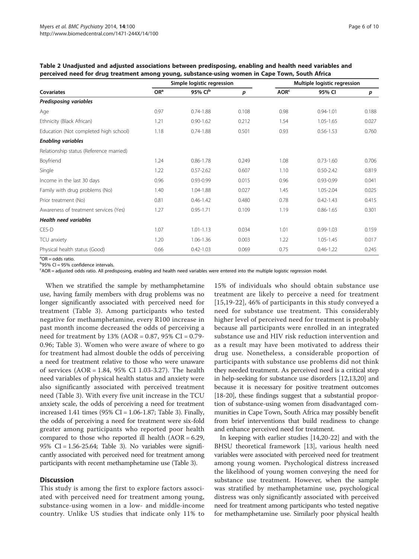| <b>Covariates</b>                       | Simple logistic regression |               |       | Multiple logistic regression |               |       |
|-----------------------------------------|----------------------------|---------------|-------|------------------------------|---------------|-------|
|                                         | OR <sup>a</sup>            | 95% Clb       | р     | AOR <sup>c</sup>             | 95% CI        | p     |
| Predisposing variables                  |                            |               |       |                              |               |       |
| Age                                     | 0.97                       | $0.74 - 1.88$ | 0.108 | 0.98                         | $0.94 - 1.01$ | 0.188 |
| Ethnicity (Black African)               | 1.21                       | $0.90 - 1.62$ | 0.212 | 1.54                         | $1.05 - 1.65$ | 0.027 |
| Education (Not completed high school)   | 1.18                       | $0.74 - 1.88$ | 0.501 | 0.93                         | $0.56 - 1.53$ | 0.760 |
| <b>Enabling variables</b>               |                            |               |       |                              |               |       |
| Relationship status (Reference married) |                            |               |       |                              |               |       |
| Boyfriend                               | 1.24                       | $0.86 - 1.78$ | 0.249 | 1.08                         | $0.73 - 1.60$ | 0.706 |
| Single                                  | 1.22                       | $0.57 - 2.62$ | 0.607 | 1.10                         | $0.50 - 2.42$ | 0.819 |
| Income in the last 30 days              | 0.96                       | 0.93-0.99     | 0.015 | 0.96                         | $0.93 - 0.99$ | 0.041 |
| Family with drug problems (No)          | 1.40                       | 1.04-1.88     | 0.027 | 1.45                         | 1.05-2.04     | 0.025 |
| Prior treatment (No)                    | 0.81                       | $0.46 - 1.42$ | 0.480 | 0.78                         | $0.42 - 1.43$ | 0.415 |
| Awareness of treatment services (Yes)   | 1.27                       | $0.95 - 1.71$ | 0.109 | 1.19                         | $0.86 - 1.65$ | 0.301 |
| Health need variables                   |                            |               |       |                              |               |       |
| CES-D                                   | 1.07                       | $1.01 - 1.13$ | 0.034 | 1.01                         | $0.99 - 1.03$ | 0.159 |
| TCU anxiety                             | 1.20                       | 1.06-1.36     | 0.003 | 1.22                         | $1.05 - 1.45$ | 0.017 |
| Physical health status (Good)           | 0.66                       | $0.42 - 1.03$ | 0.069 | 0.75                         | $0.46 - 1.22$ | 0.245 |

<span id="page-5-0"></span>Table 2 Unadjusted and adjusted associations between predisposing, enabling and health need variables and perceived need for drug treatment among young, substance-using women in Cape Town, South Africa

<sup>a</sup>OR = odds ratio.

<sup>b</sup>95% CI = 95% confidence intervals. c AOR = adjusted odds ratio. All predisposing, enabling and health need variables were entered into the multiple logistic regression model.

When we stratified the sample by methamphetamine use, having family members with drug problems was no longer significantly associated with perceived need for treatment (Table [3](#page-6-0)). Among participants who tested negative for methamphetamine, every R100 increase in past month income decreased the odds of perceiving a need for treatment by 13% (AOR = 0.87, 95% CI = 0.79- 0.96; Table [3\)](#page-6-0). Women who were aware of where to go for treatment had almost double the odds of perceiving a need for treatment relative to those who were unaware of services (AOR = 1.84, 95% CI 1.03-3.27). The health need variables of physical health status and anxiety were also significantly associated with perceived treatment need (Table [3](#page-6-0)). With every five unit increase in the TCU anxiety scale, the odds of perceiving a need for treatment increased 1.41 times  $(95\% \text{ CI} = 1.06 - 1.87; \text{ Table 3}).$  $(95\% \text{ CI} = 1.06 - 1.87; \text{ Table 3}).$  $(95\% \text{ CI} = 1.06 - 1.87; \text{ Table 3}).$  Finally, the odds of perceiving a need for treatment were six-fold greater among participants who reported poor health compared to those who reported ill health  $(AOR = 6.29,$ 95% CI = 1.56-25.64; Table [3\)](#page-6-0). No variables were significantly associated with perceived need for treatment among participants with recent methamphetamine use (Table [3\)](#page-6-0).

## **Discussion**

This study is among the first to explore factors associated with perceived need for treatment among young, substance-using women in a low- and middle-income country. Unlike US studies that indicate only 11% to

15% of individuals who should obtain substance use treatment are likely to perceive a need for treatment [[15](#page-8-0),[19-22\]](#page-8-0), 46% of participants in this study conveyed a need for substance use treatment. This considerably higher level of perceived need for treatment is probably because all participants were enrolled in an integrated substance use and HIV risk reduction intervention and as a result may have been motivated to address their drug use. Nonetheless, a considerable proportion of participants with substance use problems did not think they needed treatment. As perceived need is a critical step in help-seeking for substance use disorders [[12,13,20\]](#page-8-0) and because it is necessary for positive treatment outcomes [[18](#page-8-0)-[20\]](#page-8-0), these findings suggest that a substantial proportion of substance-using women from disadvantaged communities in Cape Town, South Africa may possibly benefit from brief interventions that build readiness to change and enhance perceived need for treatment.

In keeping with earlier studies [\[14,20](#page-8-0)-[22\]](#page-8-0) and with the BHSU theoretical framework [\[13\]](#page-8-0), various health need variables were associated with perceived need for treatment among young women. Psychological distress increased the likelihood of young women conveying the need for substance use treatment. However, when the sample was stratified by methamphetamine use, psychological distress was only significantly associated with perceived need for treatment among participants who tested negative for methamphetamine use. Similarly poor physical health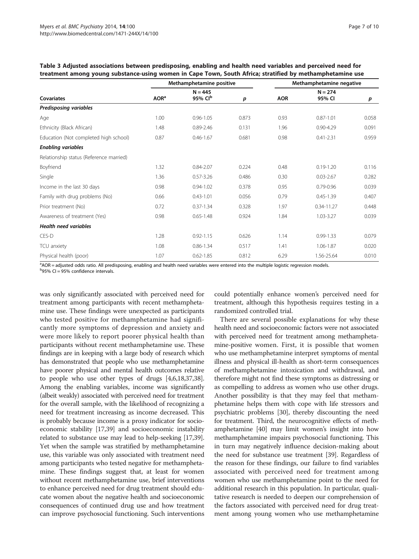|                                         | Methamphetamine positive |                                  |       | Methamphetamine negative |                     |       |
|-----------------------------------------|--------------------------|----------------------------------|-------|--------------------------|---------------------|-------|
| <b>Covariates</b>                       | AOR <sup>a</sup>         | $N = 445$<br>95% Cl <sup>b</sup> | р     | <b>AOR</b>               | $N = 274$<br>95% CI | p     |
| Predisposing variables                  |                          |                                  |       |                          |                     |       |
| Age                                     | 1.00                     | $0.96 - 1.05$                    | 0.873 | 0.93                     | $0.87 - 1.01$       | 0.058 |
| Ethnicity (Black African)               | 1.48                     | $0.89 - 2.46$                    | 0.131 | 1.96                     | $0.90 - 4.29$       | 0.091 |
| Education (Not completed high school)   | 0.87                     | $0.46 - 1.67$                    | 0.681 | 0.98                     | $0.41 - 2.31$       | 0.959 |
| <b>Enabling variables</b>               |                          |                                  |       |                          |                     |       |
| Relationship status (Reference married) |                          |                                  |       |                          |                     |       |
| Boyfriend                               | 1.32                     | $0.84 - 2.07$                    | 0.224 | 0.48                     | $0.19 - 1.20$       | 0.116 |
| Single                                  | 1.36                     | $0.57 - 3.26$                    | 0.486 | 0.30                     | $0.03 - 2.67$       | 0.282 |
| Income in the last 30 days              | 0.98                     | $0.94 - 1.02$                    | 0.378 | 0.95                     | $0.79 - 0.96$       | 0.039 |
| Family with drug problems (No)          | 0.66                     | $0.43 - 1.01$                    | 0.056 | 0.79                     | $0.45 - 1.39$       | 0.407 |
| Prior treatment (No)                    | 0.72                     | $0.37 - 1.34$                    | 0.328 | 1.97                     | $0.34 - 11.27$      | 0.448 |
| Awareness of treatment (Yes)            | 0.98                     | $0.65 - 1.48$                    | 0.924 | 1.84                     | 1.03-3.27           | 0.039 |
| <b>Health need variables</b>            |                          |                                  |       |                          |                     |       |
| CES-D                                   | 1.28                     | $0.92 - 1.15$                    | 0.626 | 1.14                     | $0.99 - 1.33$       | 0.079 |
| TCU anxiety                             | 1.08                     | $0.86 - 1.34$                    | 0.517 | 1.41                     | 1.06-1.87           | 0.020 |
| Physical health (poor)                  | 1.07                     | $0.62 - 1.85$                    | 0.812 | 6.29                     | 1.56-25.64          | 0.010 |

<span id="page-6-0"></span>Table 3 Adjusted associations between predisposing, enabling and health need variables and perceived need for treatment among young substance-using women in Cape Town, South Africa; stratified by methamphetamine use

a<br>AOR = adjusted odds ratio. All predisposing, enabling and health need variables were entered into the multiple logistic regression models.

<sup>b</sup>95% CI = 95% confidence intervals.

was only significantly associated with perceived need for treatment among participants with recent methamphetamine use. These findings were unexpected as participants who tested positive for methamphetamine had significantly more symptoms of depression and anxiety and were more likely to report poorer physical health than participants without recent methamphetamine use. These findings are in keeping with a large body of research which has demonstrated that people who use methamphetamine have poorer physical and mental health outcomes relative to people who use other types of drugs [[4,6,18,](#page-8-0)[37,38](#page-9-0)]. Among the enabling variables, income was significantly (albeit weakly) associated with perceived need for treatment for the overall sample, with the likelihood of recognizing a need for treatment increasing as income decreased. This is probably because income is a proxy indicator for socioeconomic stability [\[17,](#page-8-0)[39](#page-9-0)] and socioeconomic instability related to substance use may lead to help-seeking [\[17,](#page-8-0)[39](#page-9-0)]. Yet when the sample was stratified by methamphetamine use, this variable was only associated with treatment need among participants who tested negative for methamphetamine. These findings suggest that, at least for women without recent methamphetamine use, brief interventions to enhance perceived need for drug treatment should educate women about the negative health and socioeconomic consequences of continued drug use and how treatment can improve psychosocial functioning. Such interventions could potentially enhance women's perceived need for treatment, although this hypothesis requires testing in a randomized controlled trial.

There are several possible explanations for why these health need and socioeconomic factors were not associated with perceived need for treatment among methamphetamine-positive women. First, it is possible that women who use methamphetamine interpret symptoms of mental illness and physical ill-health as short-term consequences of methamphetamine intoxication and withdrawal, and therefore might not find these symptoms as distressing or as compelling to address as women who use other drugs. Another possibility is that they may feel that methamphetamine helps them with cope with life stressors and psychiatric problems [\[30\]](#page-9-0), thereby discounting the need for treatment. Third, the neurocognitive effects of methamphetamine [\[40\]](#page-9-0) may limit women's insight into how methamphetamine impairs psychosocial functioning. This in turn may negatively influence decision-making about the need for substance use treatment [\[39\]](#page-9-0). Regardless of the reason for these findings, our failure to find variables associated with perceived need for treatment among women who use methamphetamine point to the need for additional research in this population. In particular, qualitative research is needed to deepen our comprehension of the factors associated with perceived need for drug treatment among young women who use methamphetamine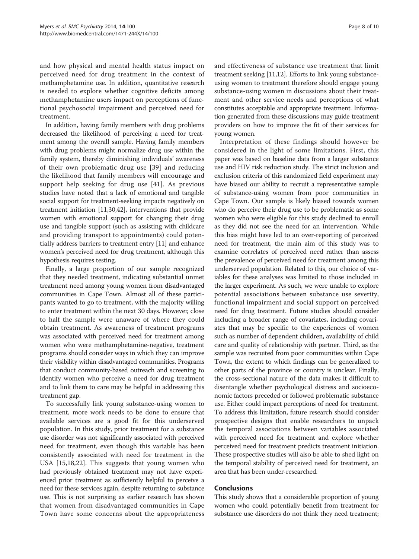and how physical and mental health status impact on perceived need for drug treatment in the context of methamphetamine use. In addition, quantitative research is needed to explore whether cognitive deficits among methamphetamine users impact on perceptions of functional psychosocial impairment and perceived need for treatment.

In addition, having family members with drug problems decreased the likelihood of perceiving a need for treatment among the overall sample. Having family members with drug problems might normalize drug use within the family system, thereby diminishing individuals' awareness of their own problematic drug use [[39](#page-9-0)] and reducing the likelihood that family members will encourage and support help seeking for drug use [[41](#page-9-0)]. As previous studies have noted that a lack of emotional and tangible social support for treatment-seeking impacts negatively on treatment initiation [[11](#page-8-0)[,30,42\]](#page-9-0), interventions that provide women with emotional support for changing their drug use and tangible support (such as assisting with childcare and providing transport to appointments) could potentially address barriers to treatment entry [[11](#page-8-0)] and enhance women's perceived need for drug treatment, although this hypothesis requires testing.

Finally, a large proportion of our sample recognized that they needed treatment, indicating substantial unmet treatment need among young women from disadvantaged communities in Cape Town. Almost all of these participants wanted to go to treatment, with the majority willing to enter treatment within the next 30 days. However, close to half the sample were unaware of where they could obtain treatment. As awareness of treatment programs was associated with perceived need for treatment among women who were methamphetamine-negative, treatment programs should consider ways in which they can improve their visibility within disadvantaged communities. Programs that conduct community-based outreach and screening to identify women who perceive a need for drug treatment and to link them to care may be helpful in addressing this treatment gap.

To successfully link young substance-using women to treatment, more work needs to be done to ensure that available services are a good fit for this underserved population. In this study, prior treatment for a substance use disorder was not significantly associated with perceived need for treatment, even though this variable has been consistently associated with need for treatment in the USA [\[15](#page-8-0),[18,22\]](#page-8-0). This suggests that young women who had previously obtained treatment may not have experienced prior treatment as sufficiently helpful to perceive a need for these services again, despite returning to substance use. This is not surprising as earlier research has shown that women from disadvantaged communities in Cape Town have some concerns about the appropriateness

and effectiveness of substance use treatment that limit treatment seeking [\[11,12](#page-8-0)]. Efforts to link young substanceusing women to treatment therefore should engage young substance-using women in discussions about their treatment and other service needs and perceptions of what constitutes acceptable and appropriate treatment. Information generated from these discussions may guide treatment providers on how to improve the fit of their services for young women.

Interpretation of these findings should however be considered in the light of some limitations. First, this paper was based on baseline data from a larger substance use and HIV risk reduction study. The strict inclusion and exclusion criteria of this randomized field experiment may have biased our ability to recruit a representative sample of substance-using women from poor communities in Cape Town. Our sample is likely biased towards women who do perceive their drug use to be problematic as some women who were eligible for this study declined to enroll as they did not see the need for an intervention. While this bias might have led to an over-reporting of perceived need for treatment, the main aim of this study was to examine correlates of perceived need rather than assess the prevalence of perceived need for treatment among this underserved population. Related to this, our choice of variables for these analyses was limited to those included in the larger experiment. As such, we were unable to explore potential associations between substance use severity, functional impairment and social support on perceived need for drug treatment. Future studies should consider including a broader range of covariates, including covariates that may be specific to the experiences of women such as number of dependent children, availability of child care and quality of relationship with partner. Third, as the sample was recruited from poor communities within Cape Town, the extent to which findings can be generalized to other parts of the province or country is unclear. Finally, the cross-sectional nature of the data makes it difficult to disentangle whether psychological distress and socioeconomic factors preceded or followed problematic substance use. Either could impact perceptions of need for treatment. To address this limitation, future research should consider prospective designs that enable researchers to unpack the temporal associations between variables associated with perceived need for treatment and explore whether perceived need for treatment predicts treatment initiation. These prospective studies will also be able to shed light on the temporal stability of perceived need for treatment, an area that has been under-researched.

## **Conclusions**

This study shows that a considerable proportion of young women who could potentially benefit from treatment for substance use disorders do not think they need treatment;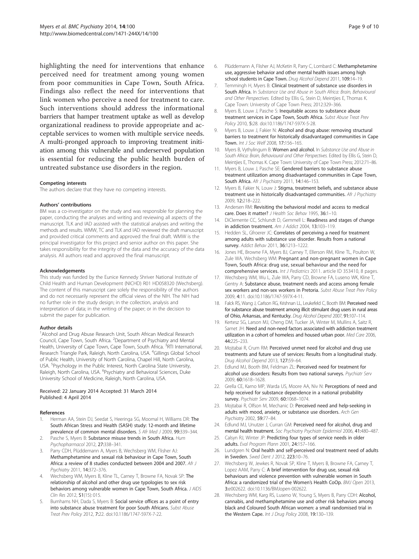<span id="page-8-0"></span>highlighting the need for interventions that enhance perceived need for treatment among young women from poor communities in Cape Town, South Africa. Findings also reflect the need for interventions that link women who perceive a need for treatment to care. Such interventions should address the informational barriers that hamper treatment uptake as well as develop organizational readiness to provide appropriate and acceptable services to women with multiple service needs. A multi-pronged approach to improving treatment initiation among this vulnerable and underserved population is essential for reducing the public health burden of untreated substance use disorders in the region.

#### Competing interests

The authors declare that they have no competing interests.

#### Authors' contributions

BM was a co-investigator on the study and was responsible for planning the paper, conducting the analyses and writing and reviewing all aspects of the manuscript. TLK and IAD assisted with the statistical analyses and writing the methods and results. WMW, TC and TLK and IAD reviewed the draft manuscript and provided critical comments and approved the final draft. WMW is the principal investigator for this project and senior author on this paper. She takes responsibility for the integrity of the data and the accuracy of the data analysis. All authors read and approved the final manuscript.

#### Acknowledgements

This study was funded by the Eunice Kennedy Shriver National Institute of Child Health and Human Development (NICHD) R01 HD058320 (Wechsberg). The content of this manuscript care solely the responsibility of the authors and do not necessarily represent the official views of the NIH. The NIH had no further role in the study design; in the collection, analysis and interpretation of data; in the writing of the paper; or in the decision to submit the paper for publication.

#### Author details

<sup>1</sup> Alcohol and Drug Abuse Research Unit, South African Medical Research Council, Cape Town, South Africa. <sup>2</sup>Department of Psychiatry and Mental Health, University of Cape Town, Cape Town, South Africa. <sup>3</sup>RTI International, Research Triangle Park, Raleigh, North Carolina, USA. <sup>4</sup>Gillings Global School of Public Health, University of North Carolina, Chapel Hill, North Carolina, USA. <sup>5</sup>Psychology in the Public Interest, North Carolina State University, Raleigh, North Carolina, USA. <sup>6</sup>Psychiatry and Behavioral Sciences, Duke University School of Medicine, Raleigh, North Carolina, USA.

#### Received: 22 January 2014 Accepted: 31 March 2014 Published: 4 April 2014

#### References

- 1. Herman AA, Stein DJ, Seedat S, Heeringa SG, Moomal H, Williams DR: The South African Stress and Health (SASH) study: 12-month and lifetime prevalence of common mental disorders. S Afr Med J 2009, 99:339–344.
- Pasche S, Myers B: Substance misuse trends in South Africa. Hum Psychopharmacol 2012, 27:338–341.
- Parry CDH, Plüddemann A, Myers B, Wechsberg WM, Flisher AJ: Methamphetamine and sexual risk behaviour in Cape Town, South Africa: a review of 8 studies conducted between 2004 and 2007. Afr J Psychiatry 2011, 14:372–376.
- 4. Wechsberg WM, Myers B, Kline TL, Carney T, Browne FA, Novak SP: The relationship of alcohol and other drug use typologies to sex risk behaviors among vulnerable women in Cape Town, South Africa. J AIDS Clin Res 2012, S1(15): 015.
- Burnhams NH, Dada S, Myers B: Social service offices as a point of entry into substance abuse treatment for poor South Africans. Subst Abuse Treat Prev Policy 2012, 7:22. doi:10.1186/1747-597X-7-22.
- 6. Plüddemann A, Flisher AJ, McKetin R, Parry C, Lombard C: Methamphetamine use, aggressive behavior and other mental health issues among high school students in Cape Town. Drug Alcohol Depend 2011, 109:14-19.
- 7. Temmingh H, Myers B: Clinical treatment of substance use disorders in South Africa. In Substance Use and Abuse in South Africa: Brain, Behavioural and Other Perspectives. Edited by Ellis G, Stein D, Meintjies E, Thomas K. Cape Town: University of Cape Town Press; 2012:329–366.
- 8. Myers B, Louw J, Pasche S: Inequitable access to substance abuse treatment services in Cape Town, South Africa. Subst Abuse Treat Prev Policy 2010, 5:28. doi:10.1186/1747-597X-5-28.
- Myers B, Louw J, Fakier N: Alcohol and drug abuse: removing structural barriers to treatment for historically disadvantaged communities in Cape Town. Int J Soc Welf 2008, 17:156–165.
- 10. Myers B, Vythylingum B: Women and alcohol. In Substance Use and Abuse in South Africa: Brain, Behavioural and Other Perspectives. Edited by Ellis G, Stein D, Meintjies E, Thomas K. Cape Town: University of Cape Town Press; 2012:71–86.
- 11. Myers B, Louw J, Pasche SE: Gendered barriers to substance abuse treatment utilization among disadvantaged communities in Cape Town, South Africa. Afr J Psychiatry 2011, 14:146-153.
- 12. Myers B, Fakier N, Louw J: Stigma, treatment beliefs, and substance abuse treatment use in historically disadvantaged communities. Afr J Psychiatry 2009, 12:218–222.
- 13. Andersen RM: Revisiting the behavioral model and access to medical care. Does it matter? J Health Soc Behav 1995, 36:1-10.
- DiClemente CC, Schlundt D, Gemmell L: Readiness and stages of change in addiction treatment. Am J Addict 2004, 13:103-119.
- 15. Hedden SL, Gfroerer JC: Correlates of perceiving a need for treatment among adults with substance use disorder. Results from a national survey. Addict Behav 2011, 36:1213–1222.
- 16. Jones HE, Browne FA, Myers BJ, Carney T, Ellerson RM, Kline TL, Poulton W, Zule WA, Wechsberg WM: Pregnant and non-pregnant women in Cape Town, South Africa: drug use, sexual behaviour and the need for comprehensive services. Int J Pediatrics 2011. article ID 353410, 8 pages.
- 17. Wechsberg WM, Wu L, Zule WA, Parry CD, Browne FA, Luseno WK, Kline T, Gentry A: Substance abuse, treatment needs and access among female sex workers and non-sex workers in Pretoria. Subst Abuse Treat Prev Policy 2009, 4:11. doi:10.1186/1747-597X-4-11.
- 18. Falck RS, Wang J, Carlson RG, Krishnan LL, Leukefeld C, Booth BM: Perceived need for substance abuse treatment among illicit stimulant drug users in rural areas of Ohio, Arkansas, and Kentucky. Drug Alcohol Depend 2007, 91:107–114.
- 19. Kertesz SG, Larson MJ, Cheng DM, Tucker JA, Winter M, Mullins A, Saitz R, Samet JH: Need and non-need factors associated with addiction treatment utilization in a cohort of homeless and housed urban poor. Med Care 2006, 44:225–233.
- 20. Mojtabai R, Crum RM: Perceived unmet need for alcohol and drug use treatments and future use of services: Results from a longitudinal study. Drug Alcohol Depend 2013, 127:59–64.
- 21. Edlund MJ, Booth BM, Feldman ZL: Perceived need for treatment for alcohol use disorders: Results from two national surveys. Psychiatr Serv 2009, 60:1618–1628.
- 22. Grella CE, Karno MP, Warda US, Moore AA, Niv N: Perceptions of need and help received for substance dependence in a national probability survey. Psychiatr Serv 2009, 60:1068–1074.
- 23. Mojtabai R, Olfson M, Mechanic D: Perceived need and help-seeking in adults with mood, anxiety, or substance use disorders. Arch Gen Psychiatry 2002, 59:77–84.
- 24. Edlund MJ, Unutzer J, Curran GM: Perceived need for alcohol, drug and mental health treatment. Soc Psychiatry Psychiatr Epidemiol 2006, 41:480–487.
- 25. Calsyn RJ, Winter JP: Predicting four types of service needs in older adults. Eval Program Plann 2001, 24:157–166.
- 26. Lundgren N: Oral health and self-perceived oral treatment need of adults in Sweden. Swed Dent J 2012, 223:10–76.
- 27. Wechsberg W, Jewkes R, Novak SP, Kline T, Myers B, Browne FA, Carney T, Lopez AAM, Parry C: A brief intervention for drug use, sexual risk behaviours and violence prevention with vulnerable women in South Africa: a randomized trial of the Women's Health CoOp. BMJ Open 2013, 3:e002622. doi:10.1136/BMJopen-002622.
- 28. Wechsberg WM, Karg RS, Luseno W, Young S, Myers B, Parry CDH: Alcohol, cannabis, and methamphetamine use and other risk behaviors among black and Coloured South African women: a small randomised trial in the Western Cape. Int J Drug Policy 2008, 19:130-139.